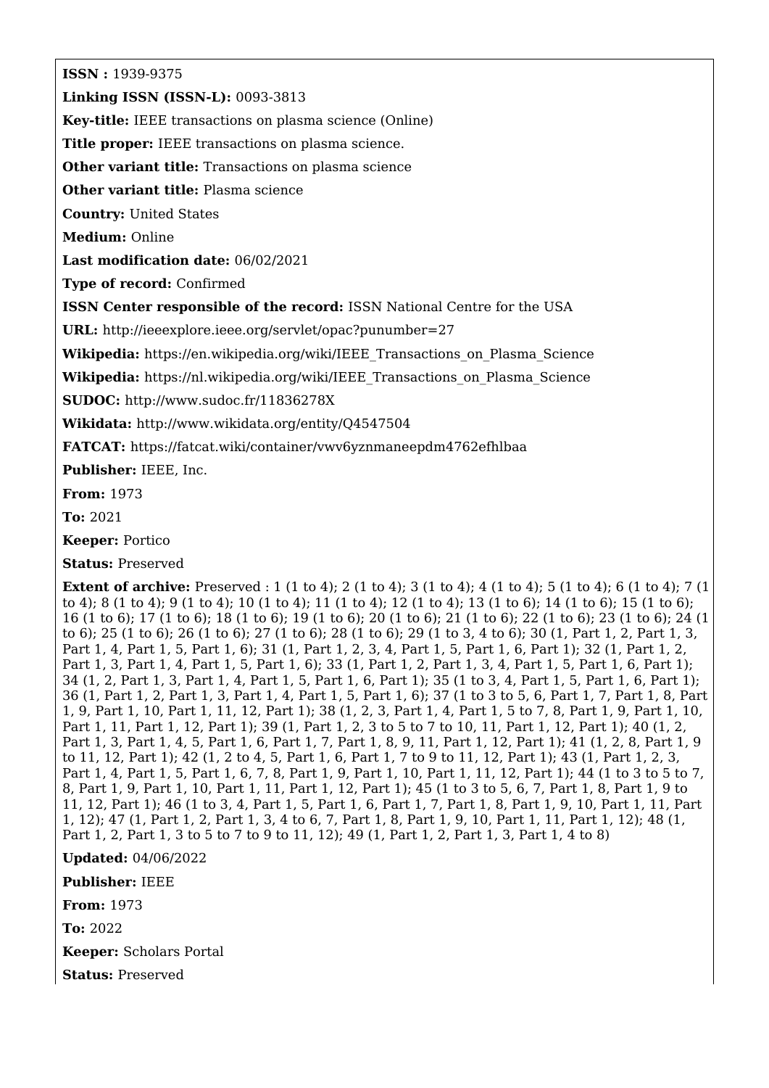**ISSN :** 1939-9375

**Linking ISSN (ISSN-L):** 0093-3813

**Key-title:** IEEE transactions on plasma science (Online)

**Title proper:** IEEE transactions on plasma science.

**Other variant title:** Transactions on plasma science

**Other variant title:** Plasma science

**Country:** United States

**Medium:** Online

**Last modification date:** 06/02/2021

**Type of record:** Confirmed

**ISSN Center responsible of the record:** ISSN National Centre for the USA

**URL:** <http://ieeexplore.ieee.org/servlet/opac?punumber=27>

Wikipedia: https://en.wikipedia.org/wiki/IEEE Transactions on Plasma Science

**Wikipedia:** [https://nl.wikipedia.org/wiki/IEEE\\_Transactions\\_on\\_Plasma\\_Science](https://nl.wikipedia.org/wiki/IEEE_Transactions_on_Plasma_Science)

**SUDOC:** <http://www.sudoc.fr/11836278X>

**Wikidata:** <http://www.wikidata.org/entity/Q4547504>

**FATCAT:** <https://fatcat.wiki/container/vwv6yznmaneepdm4762efhlbaa>

**Publisher:** IEEE, Inc.

**From:** 1973

**To:** 2021

**Keeper:** Portico

**Status:** Preserved

**Extent of archive:** Preserved : 1 (1 to 4); 2 (1 to 4); 3 (1 to 4); 4 (1 to 4); 5 (1 to 4); 6 (1 to 4); 7 (1 to 4); 8 (1 to 4); 9 (1 to 4); 10 (1 to 4); 11 (1 to 4); 12 (1 to 4); 13 (1 to 6); 14 (1 to 6); 15 (1 to 6); 16 (1 to 6); 17 (1 to 6); 18 (1 to 6); 19 (1 to 6); 20 (1 to 6); 21 (1 to 6); 22 (1 to 6); 23 (1 to 6); 24 (1 to 6); 25 (1 to 6); 26 (1 to 6); 27 (1 to 6); 28 (1 to 6); 29 (1 to 3, 4 to 6); 30 (1, Part 1, 2, Part 1, 3, Part 1, 4, Part 1, 5, Part 1, 6); 31 (1, Part 1, 2, 3, 4, Part 1, 5, Part 1, 6, Part 1); 32 (1, Part 1, 2, Part 1, 3, Part 1, 4, Part 1, 5, Part 1, 6); 33 (1, Part 1, 2, Part 1, 3, 4, Part 1, 5, Part 1, 6, Part 1); 34 (1, 2, Part 1, 3, Part 1, 4, Part 1, 5, Part 1, 6, Part 1); 35 (1 to 3, 4, Part 1, 5, Part 1, 6, Part 1); 36 (1, Part 1, 2, Part 1, 3, Part 1, 4, Part 1, 5, Part 1, 6); 37 (1 to 3 to 5, 6, Part 1, 7, Part 1, 8, Part 1, 9, Part 1, 10, Part 1, 11, 12, Part 1); 38 (1, 2, 3, Part 1, 4, Part 1, 5 to 7, 8, Part 1, 9, Part 1, 10, Part 1, 11, Part 1, 12, Part 1); 39 (1, Part 1, 2, 3 to 5 to 7 to 10, 11, Part 1, 12, Part 1); 40 (1, 2, Part 1, 3, Part 1, 4, 5, Part 1, 6, Part 1, 7, Part 1, 8, 9, 11, Part 1, 12, Part 1); 41 (1, 2, 8, Part 1, 9 to 11, 12, Part 1); 42 (1, 2 to 4, 5, Part 1, 6, Part 1, 7 to 9 to 11, 12, Part 1); 43 (1, Part 1, 2, 3, Part 1, 4, Part 1, 5, Part 1, 6, 7, 8, Part 1, 9, Part 1, 10, Part 1, 11, 12, Part 1); 44 (1 to 3 to 5 to 7, 8, Part 1, 9, Part 1, 10, Part 1, 11, Part 1, 12, Part 1); 45 (1 to 3 to 5, 6, 7, Part 1, 8, Part 1, 9 to 11, 12, Part 1); 46 (1 to 3, 4, Part 1, 5, Part 1, 6, Part 1, 7, Part 1, 8, Part 1, 9, 10, Part 1, 11, Part 1, 12); 47 (1, Part 1, 2, Part 1, 3, 4 to 6, 7, Part 1, 8, Part 1, 9, 10, Part 1, 11, Part 1, 12); 48 (1, Part 1, 2, Part 1, 3 to 5 to 7 to 9 to 11, 12); 49 (1, Part 1, 2, Part 1, 3, Part 1, 4 to 8)

**Updated:** 04/06/2022

**Publisher:** IEEE

**From:** 1973

**To:** 2022

**Keeper:** Scholars Portal

**Status:** Preserved